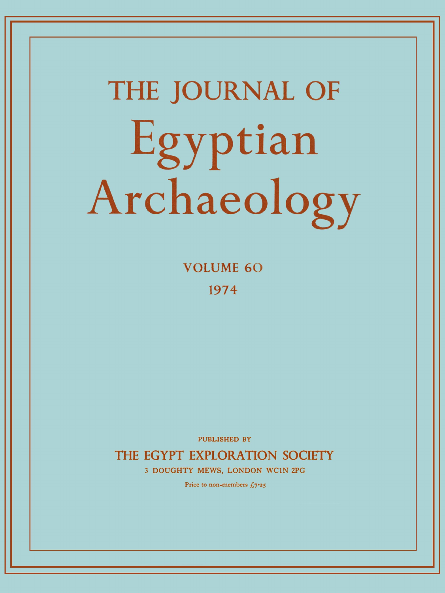# **THE JOURNAL OF**  Egyptian Archaeology

**VOLUME 6 0 197 4** 

PUBLISHED BY

THE EGYPT EXPLORATION SOCIETY

3 DOUGHTY MEWS, LONDON WC1N 2PG

Price to non-members  $f_{0.7}$   $\rightarrow$  5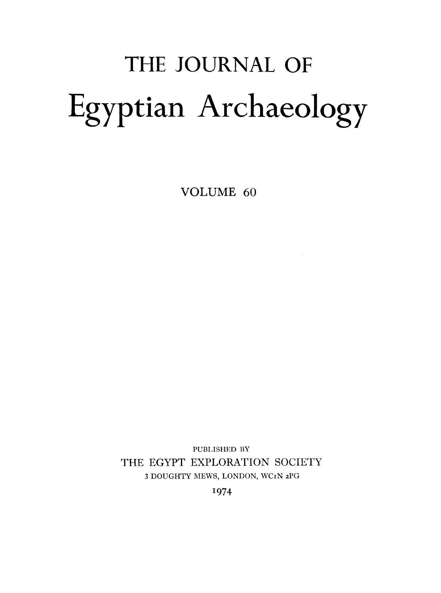# THE JOURNAL OF Egyptian Archaeology

VOLUME 60

PUBLISHED BY THE EGYPT EXPLORATION SOCIETY 3 DOUGHTY MEWS, LONDON, WCIN 2PG

1974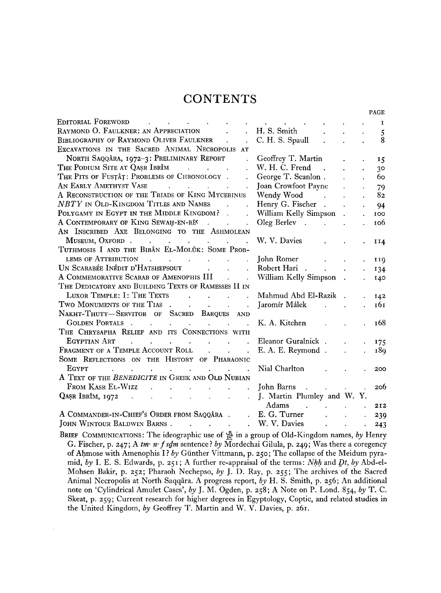# **CONTENTS**

|                                                                                                                                                                                                                                                                                                                                                                                                                                                                                                          |                                        |                               |                      |                      | PAGE           |
|----------------------------------------------------------------------------------------------------------------------------------------------------------------------------------------------------------------------------------------------------------------------------------------------------------------------------------------------------------------------------------------------------------------------------------------------------------------------------------------------------------|----------------------------------------|-------------------------------|----------------------|----------------------|----------------|
| <b>EDITORIAL FOREWORD</b><br>$\mathbf{A}^{(1)}$ and $\mathbf{A}^{(2)}$ and $\mathbf{A}^{(3)}$ and $\mathbf{A}^{(4)}$<br>$\ddot{\phantom{0}}$                                                                                                                                                                                                                                                                                                                                                             | <b>All Contract Contract</b>           |                               |                      |                      | 1              |
| RAYMOND O. FAULKNER: AN APPRECIATION                                                                                                                                                                                                                                                                                                                                                                                                                                                                     | H. S. Smith                            |                               |                      |                      | 5              |
| BIBLIOGRAPHY OF RAYMOND OLIVER FAULKNER<br>$\sim$<br>$\ddot{\phantom{0}}$                                                                                                                                                                                                                                                                                                                                                                                                                                | C. H. S. Spaull                        |                               |                      |                      | 8              |
| EXCAVATIONS IN THE SACRED ANIMAL NECROPOLIS AT                                                                                                                                                                                                                                                                                                                                                                                                                                                           |                                        |                               |                      |                      |                |
| NORTH SAQQÂRA, 1972-3: PRELIMINARY REPORT<br>$\mathbb{R}^{\mathbb{Z}}$                                                                                                                                                                                                                                                                                                                                                                                                                                   | Geoffrey T. Martin                     |                               |                      |                      | 15             |
| THE PODIUM SITE AT QASR IBRIM                                                                                                                                                                                                                                                                                                                                                                                                                                                                            | W. H. C. Frend<br>$\sim 10$            |                               |                      |                      | 3 <sup>o</sup> |
| THE PITS OF FUSTAT: PROBLEMS OF CHRONOLOGY .                                                                                                                                                                                                                                                                                                                                                                                                                                                             | George T. Scanlon.                     |                               |                      |                      | 60             |
| AN EARLY AMETHYST VASE<br><b>Contract</b><br>$\mathcal{L}(\mathcal{L}(\mathcal{L}(\mathcal{L}(\mathcal{L}(\mathcal{L}(\mathcal{L}(\mathcal{L}(\mathcal{L}(\mathcal{L}(\mathcal{L}(\mathcal{L}(\mathcal{L}(\mathcal{L}(\mathcal{L}(\mathcal{L}(\mathcal{L}(\mathcal{L}(\mathcal{L}(\mathcal{L}(\mathcal{L}(\mathcal{L}(\mathcal{L}(\mathcal{L}(\mathcal{L}(\mathcal{L}(\mathcal{L}(\mathcal{L}(\mathcal{L}(\mathcal{L}(\mathcal{L}(\mathcal{L}(\mathcal{L}(\mathcal{L}(\mathcal{L}(\mathcal{L}(\mathcal{$ | Joan Crowfoot Payne                    |                               |                      | $\ddot{\phantom{0}}$ | 79             |
| A RECONSTRUCTION OF THE TRIADS OF KING MYCERINUS                                                                                                                                                                                                                                                                                                                                                                                                                                                         | Wendy Wood<br><b>Contract Contract</b> |                               | ¥.                   | $\ddot{\phantom{a}}$ | 82             |
| NBTY IN OLD-KINGDOM TITLES AND NAMES<br>$\ddot{\phantom{a}}$                                                                                                                                                                                                                                                                                                                                                                                                                                             | Henry G. Fischer .                     |                               |                      | $\ddot{\phantom{a}}$ | 94             |
| POLYGAMY IN EGYPT IN THE MIDDLE KINGDOM?<br>$\ddot{\phantom{a}}$                                                                                                                                                                                                                                                                                                                                                                                                                                         | William Kelly Simpson.                 |                               |                      | $\ddot{\phantom{a}}$ | 100            |
| A CONTEMPORARY OF KING SEWAH-EN-REC.<br>$\mathbf{r}$                                                                                                                                                                                                                                                                                                                                                                                                                                                     |                                        |                               | $\ddot{\phantom{a}}$ |                      | 106            |
| AN INSCRIBED AXE BELONGING TO THE ASHMOLEAN                                                                                                                                                                                                                                                                                                                                                                                                                                                              |                                        |                               |                      |                      |                |
| MUSEUM, OXFORD.                                                                                                                                                                                                                                                                                                                                                                                                                                                                                          | W. V. Davies                           |                               |                      |                      | II4            |
| TUTHMOSIS I AND THE BIBÂN EL-MOLÛK: SOME PROB-                                                                                                                                                                                                                                                                                                                                                                                                                                                           |                                        |                               |                      |                      |                |
| LEMS OF ATTRIBUTION<br>$\mathcal{A}$ and $\mathcal{A}$ are all the set of the set of $\mathcal{A}$                                                                                                                                                                                                                                                                                                                                                                                                       | John Romer                             |                               |                      |                      | 119            |
| UN SCARABÉE INÉDIT D'HATSHEPSOUT<br>and the contract of the con-<br>$\ddot{\phantom{a}}$                                                                                                                                                                                                                                                                                                                                                                                                                 | Robert Hari .                          | $\mathbf{L}$                  |                      |                      | 134            |
| A COMMEMORATIVE SCARAB OF AMENOPHIS III .<br>$\mathcal{L}$                                                                                                                                                                                                                                                                                                                                                                                                                                               | William Kelly Simpson.                 |                               |                      |                      | 140            |
| THE DEDICATORY AND BUILDING TEXTS OF RAMESSES II IN                                                                                                                                                                                                                                                                                                                                                                                                                                                      |                                        |                               |                      |                      |                |
| LUXOR TEMPLE: I: THE TEXTS<br>and the contract of the contract of the contract of the contract of the contract of the contract of the contract of                                                                                                                                                                                                                                                                                                                                                        | Mahmud Abd El-Razik                    |                               |                      |                      | 142            |
| TWO MONUMENTS OF THE TIAS                                                                                                                                                                                                                                                                                                                                                                                                                                                                                | Jaromír Málek                          | $\Delta \sim 10^{-11}$        | $\ddot{\phantom{a}}$ |                      | 161            |
| NAKHT-THUTY-SERVITOR OF SACRED BARQUES AND                                                                                                                                                                                                                                                                                                                                                                                                                                                               |                                        |                               |                      |                      |                |
| <b>GOLDEN PORTALS</b> .<br>$\mathcal{L}^{\text{max}}$ , where $\mathcal{L}^{\text{max}}$<br>the contract of the contract of<br>$\mathbf{r}$                                                                                                                                                                                                                                                                                                                                                              | K. A. Kitchen                          |                               |                      |                      | 168            |
| THE CHRYSAPHA RELIEF AND ITS CONNECTIONS WITH                                                                                                                                                                                                                                                                                                                                                                                                                                                            |                                        |                               |                      |                      |                |
| EGYPTIAN ART<br>$\mathbf{u}^{\prime}$ , and $\mathbf{u}^{\prime}$ , and $\mathbf{u}^{\prime}$ , and $\mathbf{u}^{\prime}$ , and $\mathbf{u}^{\prime}$                                                                                                                                                                                                                                                                                                                                                    | Eleanor Guralnick.                     |                               | $\ddot{\phantom{a}}$ |                      | 175            |
| FRAGMENT OF A TEMPLE ACCOUNT ROLL<br>$\mathbf{r} = \mathbf{r} \cdot \mathbf{r}$<br>$\ddot{\phantom{a}}$                                                                                                                                                                                                                                                                                                                                                                                                  | E. A. E. Reymond.                      |                               |                      |                      | 189            |
| SOME REFLECTIONS ON THE HISTORY OF PHARAONIC                                                                                                                                                                                                                                                                                                                                                                                                                                                             |                                        |                               |                      |                      |                |
| EGYPT<br>$\mathbf{r} = \mathbf{r} \cdot \mathbf{r}$<br>$\mathbf{r} = \mathbf{r} \cdot \mathbf{r}$ , where $\mathbf{r} = \mathbf{r} \cdot \mathbf{r}$                                                                                                                                                                                                                                                                                                                                                     | Nial Charlton                          |                               |                      |                      | 200            |
| A TEXT OF THE BENEDICITE IN GREEK AND OLD NUBIAN                                                                                                                                                                                                                                                                                                                                                                                                                                                         |                                        |                               |                      |                      |                |
| FROM KASR EL-WIZZ.<br><b>Contract Contract</b><br>$\mathcal{L}^{\text{max}}$                                                                                                                                                                                                                                                                                                                                                                                                                             | John Barns                             |                               |                      |                      | 206            |
| $\mathcal{L}^{\text{max}}$                                                                                                                                                                                                                                                                                                                                                                                                                                                                               | J. Martin Plumley and W. Y.            |                               |                      |                      |                |
|                                                                                                                                                                                                                                                                                                                                                                                                                                                                                                          | Adams                                  | $\mathbf{r}$ and $\mathbf{r}$ |                      |                      | 212            |
| A COMMANDER-IN-CHIEF'S ORDER FROM SAQQÂRA.<br>$\mathcal{L}^{\text{max}}$                                                                                                                                                                                                                                                                                                                                                                                                                                 | E. G. Turner                           | $\mathbf{r}$                  | $\ddot{\phantom{a}}$ | $\ddot{\phantom{a}}$ | 239            |
| JOHN WINTOUR BALDWIN BARNS.<br>and the contract of the                                                                                                                                                                                                                                                                                                                                                                                                                                                   | W. V. Davies                           | $\mathcal{L}^{\text{max}}$    | $\ddot{\phantom{a}}$ |                      | 243            |
|                                                                                                                                                                                                                                                                                                                                                                                                                                                                                                          |                                        |                               |                      |                      |                |

**B**RIEF **C**OMMUNICATIONS **: The ideographic use of ^ in a group of Old-Kingdom names,** *by* **Henry G. Fischer, p.** 247; **A** *tm- n-fsdm* **sentence?** *by* **Mordechai Gilula, p.** 249; **Was there a coregency of Ahmose with Amenophis I ?** *by* **Giinther Vittmann, p.** 250; **The collapse of the Meidum pyramid,** *by* **I. E. S. Edwards, p.** 251 **; A further re-appraisal of the terms:** *Nhh* **and** *Dt, by* **Abd-el-Mohsen Bakir, p.** 252; **Pharaoh Nechepso,** *by* **J. D. Ray, p.** 255; **The archives of the Sacred Animal Necropolis at North Saqqara. A progress report,** *by* **H. S. Smith, p.** 256; **An additional note on 'Cylindrical Amulet Cases',** *by* **J. M. Ogden, p.** 258; **A Note on P. Lond.** 854, *by* **T. C. Skeat, p.** 259; **Current research for higher degrees in Egyptology, Coptic, and related studies in the United Kingdom,** *by* **Geoffrey T. Martin and W. V. Davies, p.** 261.

 $\mathcal{L}_\mathrm{c}$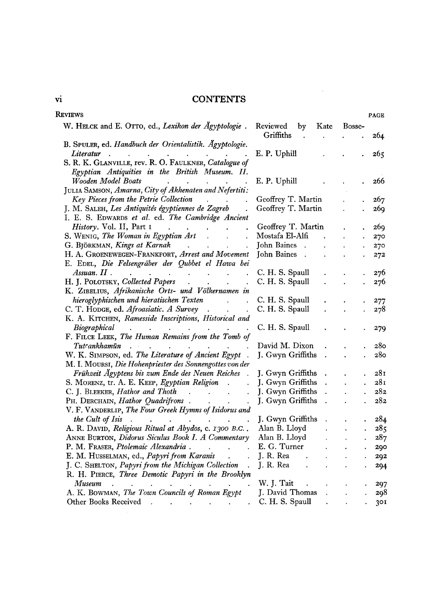# vi CONTENTS

 $\mathcal{L}^{\text{max}}_{\text{max}}$  and  $\mathcal{L}^{\text{max}}_{\text{max}}$ 

| Reviews                                                                                                                                                                                                                                                   |                                                      |                                                                                   | <b>PAGE</b>                      |
|-----------------------------------------------------------------------------------------------------------------------------------------------------------------------------------------------------------------------------------------------------------|------------------------------------------------------|-----------------------------------------------------------------------------------|----------------------------------|
| W. HELCK and E. OTTO, ed., Lexikon der Ägyptologie.                                                                                                                                                                                                       | Reviewed<br>Kate<br>by<br>Griffiths<br>$\sim$ $\sim$ | Bosse-<br>$\bullet$ .<br><br><br><br><br><br><br><br><br><br><br><br>             | 264                              |
| B. SPULER, ed. Handbuch der Orientalistik. Ägyptologie.                                                                                                                                                                                                   |                                                      |                                                                                   |                                  |
| Literatur                                                                                                                                                                                                                                                 | E. P. Uphill                                         |                                                                                   | 26 <sub>5</sub>                  |
| S. R. K. GLANVILLE, rev. R. O. FAULKNER, Catalogue of                                                                                                                                                                                                     |                                                      |                                                                                   |                                  |
| Egyptian Antiquities in the British Museum. II.                                                                                                                                                                                                           |                                                      |                                                                                   |                                  |
| Wooden Model Boats<br>and the contract of the contract of                                                                                                                                                                                                 | E. P. Uphill                                         |                                                                                   | 266                              |
| JULIA SAMSON, Amarna, City of Akhenaten and Nefertiti:                                                                                                                                                                                                    |                                                      |                                                                                   |                                  |
| Key Pieces from the Petrie Collection (b) can be reader to the Rey Pieces from the Petrie Collection                                                                                                                                                      | Geoffrey T. Martin                                   |                                                                                   | $\mathbf{L}^{\text{max}}$<br>267 |
| J. M. SALEH, Les Antiquités égyptiennes de Zagreb.                                                                                                                                                                                                        | Geoffrey T. Martin                                   | $\ddot{\phantom{0}}$                                                              | 269                              |
| I. E. S. EDWARDS et al. ed. The Cambridge Ancient                                                                                                                                                                                                         |                                                      |                                                                                   |                                  |
| History. Vol. II, Part 1<br>$\mathbf{L}$                                                                                                                                                                                                                  | Geoffrey T. Martin                                   |                                                                                   | 269                              |
| S. WENIG, The Woman in Egyptian Art                                                                                                                                                                                                                       | Mostafa El-Alfi                                      | $\mathcal{L}(\mathbf{r})$ and $\mathcal{L}(\mathbf{r})$ .                         | . 270                            |
|                                                                                                                                                                                                                                                           | John Baines                                          |                                                                                   | 270<br>$\mathbf{v}^{(1)}$        |
| H. A. GROENEWEGEN-FRANKFORT, Arrest and Movement John Baines                                                                                                                                                                                              |                                                      |                                                                                   | 272<br>$\ddot{\phantom{a}}$      |
| E. EDEL, Die Felsengräber der Qubbet el Hawa bei                                                                                                                                                                                                          |                                                      |                                                                                   |                                  |
| $\Lambda$ ssuan. $II$ .<br>$\mathcal{L}^{\mathcal{A}}$ . The contribution of the contribution of the contribution of $\mathcal{L}^{\mathcal{A}}$                                                                                                          | C. H. S. Spaull                                      |                                                                                   | 276                              |
| H. J. POLOTSKY, Collected Papers                                                                                                                                                                                                                          | C. H. S. Spaull                                      | ¥.                                                                                | 276                              |
| K. ZIBELIUS, Afrikanische Orts- und Völkernamen in                                                                                                                                                                                                        |                                                      |                                                                                   |                                  |
| hieroglyphischen und hieratischen Texten für dem steht der eine Steinungsteilung der eine Steinungsteilung der                                                                                                                                            | C. H. S. Spaull                                      |                                                                                   | 277                              |
| C. T. HODGE, ed. Afroasiatic. A Survey                                                                                                                                                                                                                    | C. H. S. Spaull                                      | $\ddot{\phantom{0}}$                                                              | 278                              |
| K. A. KITCHEN, Ramesside Inscriptions, Historical and                                                                                                                                                                                                     |                                                      |                                                                                   |                                  |
| Biographical<br>$\mathcal{A}^{\mathcal{A}}$ . The contribution of the contribution of the contribution of the contribution of the contribution of the contribution of the contribution of the contribution of the contribution of the contribution of the | C. H. S. Spaull                                      |                                                                                   | 279                              |
| F. FILCE LEEK, The Human Remains from the Tomb of                                                                                                                                                                                                         |                                                      |                                                                                   |                                  |
| Tutcankhamūn sur services in the service of the service of the service of the service of the service of the service of the service of the service of the service of the service of the service of the service of the service o                            | David M. Dixon                                       |                                                                                   | 280                              |
| W. K. SIMPSON, ed. The Literature of Ancient Egypt.                                                                                                                                                                                                       | J. Gwyn Griffiths<br>$\ddot{\phantom{a}}$            |                                                                                   | 28 <sub>0</sub>                  |
| M. I. MOURSI, Die Hohenpriester des Sonnengottes von der                                                                                                                                                                                                  |                                                      |                                                                                   |                                  |
| Frühzeit Ägyptens bis zum Ende des Neuen Reiches.                                                                                                                                                                                                         | J. Gwyn Griffiths<br>$\sim 10^{-11}$                 | $\ddot{\phantom{0}}$                                                              | 281                              |
| S. MORENZ, tr. A. E. KEEP, Egyptian Religion.                                                                                                                                                                                                             | J. Gwyn Griffiths                                    | $\sim 10^{-10}$ km s $^{-1}$<br>$\ddot{\phantom{a}}$                              | 281<br>$\ddot{\phantom{0}}$      |
| C. J. BLEEKER, <i>Hathor and Thoth</i>                                                                                                                                                                                                                    | J. Gwyn Griffiths                                    | $\mathcal{L}_{\text{max}}$ and $\mathcal{L}_{\text{max}}$<br>$\ddot{\phantom{a}}$ | 282<br>$\ddot{\phantom{0}}$      |
| PH. DERCHAIN, <i>Hathor Quadrifrons</i>                                                                                                                                                                                                                   | J. Gwyn Griffiths<br>$\sim 10^{-1}$                  | $\ddot{\phantom{a}}$                                                              | 282<br>$\ddot{\phantom{0}}$      |
| V. F. VANDERLIP, The Four Greek Hymns of Isidorus and                                                                                                                                                                                                     |                                                      |                                                                                   |                                  |
| the Cult of Isis                                                                                                                                                                                                                                          | J. Gwyn Griffiths .                                  | $\ddot{\phantom{0}}$                                                              | 284                              |
| A. R. DAVID, Religious Ritual at Abydos, c. 1300 B.C                                                                                                                                                                                                      | Alan B. Lloyd                                        | $\mathcal{L}^{\text{max}}$ and $\mathcal{L}^{\text{max}}$                         | 28 <sub>5</sub>                  |
| ANNE BURTON, Didorus Siculus Book I. A Commentary                                                                                                                                                                                                         | Alan B. Lloyd                                        | $\mathcal{L}^{\text{max}}$<br>$\ddot{\phantom{a}}$                                | 287                              |
| P. M. FRASER, Ptolemaic Alexandria. (a)                                                                                                                                                                                                                   | E. G. Turner<br>$\sim$ $\sim$ $\sim$                 |                                                                                   | 290                              |
| E. M. HUSSELMAN, ed., Papyri from Karanis.                                                                                                                                                                                                                | J. R. Rea                                            |                                                                                   | 292                              |
| J. C. SHELTON, Papyri from the Michigan Collection                                                                                                                                                                                                        | J. R. Rea                                            |                                                                                   | 294                              |
| R. H. PIERCE, Three Demotic Papyri in the Brooklyn                                                                                                                                                                                                        |                                                      |                                                                                   |                                  |
| Museum<br>$\mathbf{L} = \mathbf{L} \times \mathbf{L}$                                                                                                                                                                                                     | W. J. Tait                                           |                                                                                   | 297                              |
| A. K. BOWMAN, The Town Councils of Roman Egypt                                                                                                                                                                                                            | J. David Thomas                                      |                                                                                   | 298                              |
| Other Books Received<br>$\sim$ 10<br>and the state of the state of the<br>$\mathbf{z} = \mathbf{z} + \mathbf{z}$ .                                                                                                                                        | C. H. S. Spaull                                      |                                                                                   | 30I                              |
|                                                                                                                                                                                                                                                           |                                                      |                                                                                   |                                  |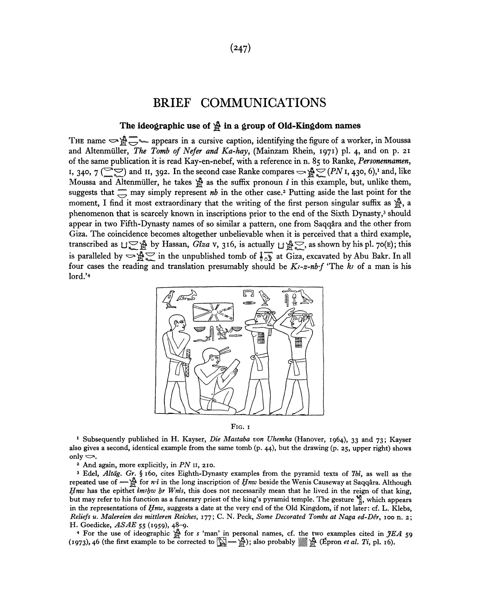#### **(247)**

### BRIEF COMMUNICATIONS

# The ideographic use of  $\mathbb{\hat{A}}$  in a group of Old-Kingdom names

THE name  $\Rightarrow$   $\mathcal{F}$   $\Rightarrow$  appears in a cursive caption, identifying the figure of a worker, in Moussa and Altenmiiller, *The Tomb of Nefer and Ka-hay,* (Mainzam Rhein, 1971) pi. 4, and on p. 21 of the same publication it is read Kay-en-nebef, with a reference in n. 85 to Ranke, *Personennamen,*  I, 340,  $7(\text{CQ})$  and II, 392. In the second case Ranke compares  $\Rightarrow \mathbb{A}^{\text{C}} \neq (PN$  I, 430, 6),<sup>1</sup> and, like Moussa and Altenmüller, he takes  $\mathcal{L}$  as the suffix pronoun *i* in this example, but, unlike them, suggests that  $\equiv$  may simply represent *nb* in the other case.<sup>2</sup> Putting aside the last point for the moment, I find it most extraordinary that the writing of the first person singular suffix as  $\hat{\mathbb{F}}$ , a phenomenon that is scarcely known in inscriptions prior to the end of the Sixth Dynasty,<sup>3</sup> should appear in two Fifth-Dynasty names of so similar a pattern, one from Saqqata and the other from Giza. The coincidence becomes altogether unbelievable when it is perceived that a third example, transcribed as  $\bigcup \bigcup_{i=1}^{\infty}$  by Hassan, *Giza* v, 316, is actually  $\bigcup_{i=1}^{\infty} \bigcup_{i=1}^{\infty}$ , as shown by his pl. 70(E); this is paralleled by  $\infty$   $\frac{1}{2}$  in the unpublished tomb of  $\frac{1}{2}$  at Giza, excavated by Abu Bakr. In all four cases the reading and translation presumably should be  $K_3$ -z-nb·f 'The k<sub>i</sub> of a man is his lord.'<sup>4</sup>



FIG. 1

<sup>1</sup> Subsequently published in H. Kayser, *Die Mastaba von Uhemka* (Hanover, 1964), 33 and 73; Kayser also gives a second, identical example from the same tomb (p. 44), but the drawing (p. 25, upper right) shows only  $\iff$ .

2 And again, more explicitly, in *PN* 11, 210.

3 Edel, *Altdg. Gr.* § 160, cites Eighth-Dynasty examples from the pyramid texts of *Ibi,* as well as the repeated use of  $\mathbb{R}^n$  for *n*<sup>*i*</sup> in the long inscription of *Hnw* beside the Wenis Causeway at Saqqara. Although *If nw* has the epithet *im/bw br Wnis*, this does not necessarily mean that he lived in the reign of that king, but may refer to his function as a funerary priest of the king's pyramid temple. The gesture  $\frac{w_i}{n}$ , which appears in the representations of *Hnw,* suggests a date at the very end of the Old Kingdom, if not later: cf. L. Klebs, *Reliefs u. Malereien des mittleren Reiches,* 177; C. N. Peck, *Some Decorated Tombs at Naga ed-DSr,* 100 n. 2; H. Goedicke, *ASAE* 55 (1959), 48-9.

4 For the use of ideographic jf for *s* 'man\* in personal names, cf. the two examples cited in *jfEA* 59 (1973), 46 (the first example to be corrected to  $\sum_{i=1}^{\infty}$   $\cdots$   $\sum_{i=1}^{\infty}$ ); also probably  $\binom{\infty}{\infty}$  (Epron *et al. Ti*, pl. 16).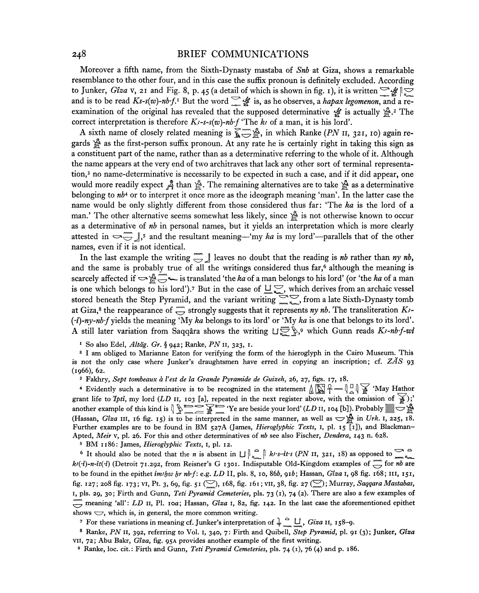#### 248 BRIEF COMMUNICATIONS

Moreover a fifth name, from the Sixth-Dynasty mastaba of *Snb* at Giza, shows a remarkable resemblance to the other four, and in this case the suffix pronoun is definitely excluded. According to Junker, *Giza* v, 21 and Fig. 8, p. 45 (a detail of which is shown in fig. 1), it is written  $\frac{1}{2}$   $\frac{1}{2}$ and is to be read  $Ks$ -s(w)-nbf.<sup>1</sup> But the word  $\subseteq$   $\mathscr{L}$  is, as he observes, a *hapax legomenon*, and a reexamination of the original has revealed that the supposed determinative  $\frac{4}{3}$  is actually  $\frac{8}{2}$ .<sup>2</sup> The correct interpretation is therefore  $K$ *s*-s-s(w)-nb·f 'The  $k$  of a man, it is his lord'.

A sixth name of closely related meaning is  $\mathbb{R} \rightarrow \mathbb{R}$ , in which Ranke (PN II, 321, 10) again regards  $^{\circ}$  as the first-person suffix pronoun. At any rate he is certainly right in taking this sign as a constituent part of the name, rather than as a determinative referring to the whole of it. Although the name appears at the very end of two architraves that lack any other sort of terminal representation,<sup>3</sup> no name-determinative is necessarily to be expected in such a case, and if it did appear, one would more readily expect A than  $\mathbb{S}$ . The remaining alternatives are to take  $\mathbb{S}$  as a determinative belonging to  $nb$ <sup>4</sup> or to interpret it once more as the ideograph meaning 'man'. In the latter case the name would be only slightly different from those considered thus far: 'The *ka* is the lord of a man.' The other alternative seems somewhat less likely, since  $\hat{\mathbb{S}}$  is not otherwise known to occur as a determinative of *nb* in personal names, but it yields an interpretation which is more clearly attested in  $\infty$ ,  $\overline{y}$ , and the resultant meaning—'my *ka* is my lord'—parallels that of the other names, even if it is not identical.

In the last example the writing  $\overline{\mathcal{I}}$  leaves no doubt that the reading is *nb* rather than *ny nb*, and the same is probably true of all the writings considered thus far,<sup>6</sup> although the meaning is scarcely affected if  $\rightarrow$   $\mathbb{R}$  is translated 'the *ka* of a man belongs to his lord' (or 'the *ka* of a man is one which belongs to his lord').<sup>7</sup> But in the case of  $\Box \subset \Box$ , which derives from an archaic vessel stored beneath the Step Pyramid, and the variant writing  $\sum_{m=1}^{\infty}$ , from a late Sixth-Dynasty tomb at Giza,<sup>8</sup> the reappearance of  $\overline{\mathbb{C}}$  strongly suggests that it represents *ny nb*. The transliteration *K*?-*(•i)-ny-nb'f* yields the meaning 'My *ka* belongs to its lord' or 'My *ka* is one that belongs to its lord'. A still later variation from Saqqara shows the writing  $U^{\text{exp}}_{\infty}$ , 9 which Gunn reads *K<sub>i</sub>*-nb-f-wi

1 So also Edel, *Altdg. Gr.* § 942; Ranke, *PN* 11, 323, 1.

2 I am obliged to Marianne Eaton for verifying the form of the hieroglyph in the Cairo Museum. This is not the only case where Junker's draughtsmen have erred in copying an inscription; cf. *ZAS* 93 (1966), 62.

3 Fakhry, *Sept tombeaux a Vest de la Grande Pyramide de Guizeh,* 26, 27, figs. 17, 18.

<sup>4</sup> Evidently such a determinative is to be recognized in the statement  $\log \frac{1}{2}$   $\log \frac{1}{2}$  'May Hathor' grant life to *Ipti*, my lord (LD 11, 103 [a], repeated in the next register above, with the omission of  $\widetilde{A}$ );' another example of this kind is  $\set{\varphi} \Longrightarrow \searrow \mathbb{R}$   $\Rightarrow$  'Ye are beside your lord' *(LD* 11, 104 [b]). Probably ﷺ (Hassan, *Gîza* III, 16 fig. 15) is to be interpreted in the same manner, as well as  $\bigcirc$ <sup>3</sup>g in *Urk*. 1, 225, 18. Further examples are to be found in BM 527A (James, *Hieroglyphic Texts,* 1, pi. 15 [1]), and Blackman-Apted, Meir v, pl. 26. For this and other determinatives of nb see also Fischer, Dendera, 143 n. 628.

5 BM 1186: James, *Hieroglyphic Texts,* 1, pi. 12.

<sup>6</sup> It should also be noted that the *n* is absent in  $\iiint_{\mathbb{R}_+}^{\infty}$  *k<sub>t</sub>*-s-*it*-s (*PN* 11, 321, 18) as opposed to  $\sum_{n=1}^{\infty}$ *kj*( $\cdot$ *i*)-n-it( $\cdot$ *i*) (Detroit 71.292, from Reisner's G 1301. Indisputable Old-Kingdom examples of  $\overline{\phantom{a}}$  for *nb* are to be found in the epithet *imtfiw fir nb-f:* e.g. *LD* II, pis. 8, 10, 866, *gib;* Hassan, *Giza* 1, 98 fig. 168; in, 151, fig. 127; 208 fig. 173; vi, Pt. 3, 69, fig. 51 (^) , 168, fig. 161; VII, 38, fig. 27 (2) ; Murray, *Saqqara Mastabas,*  1, pis. 29, 30; Firth and Gunn, *Teti Pyramid Cemeteries,* pis. 73 (1), 74 (2). There are also a few examples of meaning 'all': *LD* 11, Pl. 10a; Hassan, *Gîza* 1, 82, fig. 142. In the last case the aforementioned epithet shows  $\bigcirc$ , which is, in general, the more common writing.

<sup>7</sup> For these variations in meaning cf. Junker's interpretation of  $\frac{1}{2}$   $\frac{11}{2}$ , *Giza* 11, 158-9.

8 Ranke, *PN* 11, 392, referring to Vol. I, 340, 7: Firth and Quibell, *Step Pyramid,* pi. 91 (3); Junker, *Giza*  VII, 72; Abu Bakr, *Giza,* fig. 95A provides another example of the first writing.

9 Ranke, loc. cit.: Firth and Gunn, *Teti Pyramid Cemeteries,* pis. 74 (1), 76 (4) and p. 186.